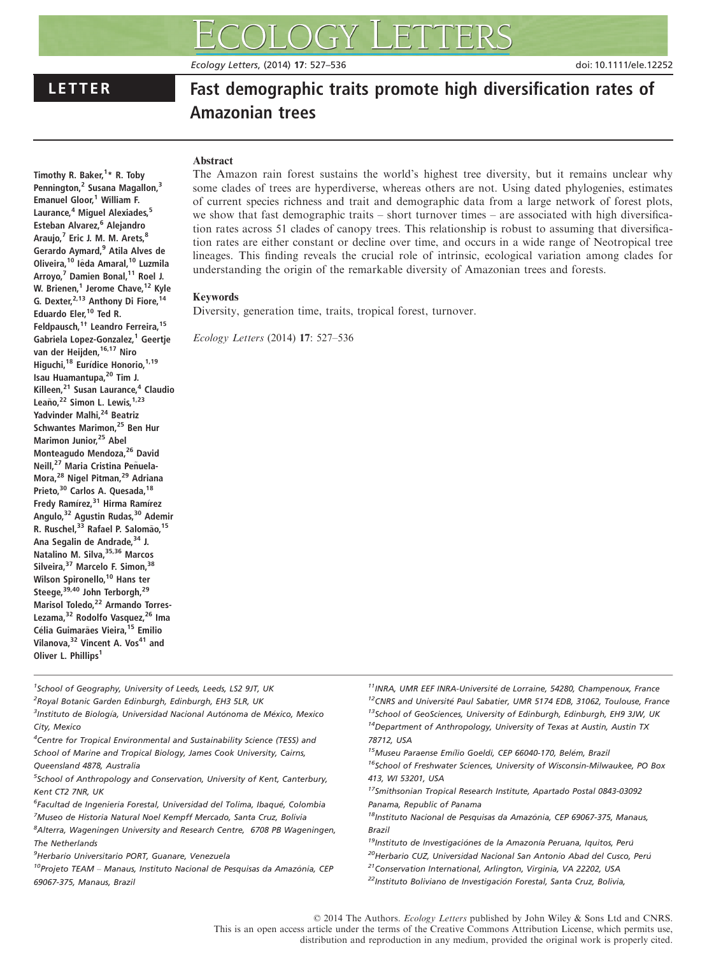Ecology Letters, (2014) 17: 527–536 doi: 10.1111/ele.12252

Timothy R. Baker,<sup>1</sup>\* R. Toby Pennington,<sup>2</sup> Susana Magallon,<sup>3</sup> Emanuel Gloor,<sup>1</sup> William F. Laurance,<sup>4</sup> Miguel Alexiades,<sup>5</sup> Esteban Alvarez, <sup>6</sup> Alejandro Araujo,<sup>7</sup> Eric J. M. M. Arets,<sup>8</sup> Gerardo Aymard,<sup>9</sup> Atila Alves de Oliveira,<sup>10</sup> lêda Amaral,<sup>10</sup> Luzmila Arroyo,<sup>7</sup> Damien Bonal,<sup>11</sup> Roel J. W. Brienen,<sup>1</sup> Jerome Chave,<sup>12</sup> Kyle G. Dexter,<sup>2,13</sup> Anthony Di Fiore,<sup>14</sup>

Eduardo Eler,<sup>10</sup> Ted R.

Oliver L. Phillips<sup>1</sup>

Feldpausch,<sup>1†</sup> Leandro Ferreira,<sup>15</sup> Gabriela Lopez-Gonzalez,<sup>1</sup> Geertje van der Heijden, 16,17 Niro Higuchi,<sup>18</sup> Eurídice Honorio,<sup>1,19</sup> Isau Huamantupa, <sup>20</sup> Tim J. Killeen,<sup>21</sup> Susan Laurance.<sup>4</sup> Claudio Leaño,<sup>22</sup> Simon L. Lewis,<sup>1,23</sup> Yadvinder Malhi,<sup>24</sup> Beatriz Schwantes Marimon,<sup>25</sup> Ben Hur Marimon Junior.<sup>25</sup> Abel Monteagudo Mendoza,26 David Neill,<sup>27</sup> Maria Cristina Peñuela-Mora,<sup>28</sup> Nigel Pitman,<sup>29</sup> Adriana Prieto, 30 Carlos A. Quesada, 18 Fredy Ramírez,<sup>31</sup> Hirma Ramírez Angulo, <sup>32</sup> Agustin Rudas, <sup>30</sup> Ademir R. Ruschel,<sup>33</sup> Rafael P. Salomão,<sup>15</sup> Ana Segalin de Andrade, 34 J. Natalino M. Silva, 35,36 Marcos Silveira,<sup>37</sup> Marcelo F. Simon,<sup>38</sup> Wilson Spironello,<sup>10</sup> Hans ter Steege,<sup>39,40</sup> John Terborgh,<sup>29</sup> Marisol Toledo,<sup>22</sup> Armando Torres-Lezama,<sup>32</sup> Rodolfo Vasquez,<sup>26</sup> Ima Célia Guimarães Vieira,<sup>15</sup> Emilio Vilanova, <sup>32</sup> Vincent A. Vos<sup>41</sup> and

# LETTER Fast demographic traits promote high diversification rates of Amazonian trees

# Abstract

The Amazon rain forest sustains the world's highest tree diversity, but it remains unclear why some clades of trees are hyperdiverse, whereas others are not. Using dated phylogenies, estimates of current species richness and trait and demographic data from a large network of forest plots, we show that fast demographic traits – short turnover times – are associated with high diversification rates across 51 clades of canopy trees. This relationship is robust to assuming that diversification rates are either constant or decline over time, and occurs in a wide range of Neotropical tree lineages. This finding reveals the crucial role of intrinsic, ecological variation among clades for understanding the origin of the remarkable diversity of Amazonian trees and forests.

# Keywords

Diversity, generation time, traits, tropical forest, turnover.

Ecology Letters (2014) 17: 527–536

<sup>1</sup>School of Geography, University of Leeds, Leeds, LS2 9JT, UK

<sup>2</sup>Royal Botanic Garden Edinburgh, Edinburgh, EH3 5LR, UK

<sup>4</sup>Centre for Tropical Environmental and Sustainability Science (TESS) and School of Marine and Tropical Biology, James Cook University, Cairns, Queensland 4878, Australia

<sup>5</sup>School of Anthropology and Conservation, University of Kent, Canterbury, Kent CT2 7NR, UK

<sup>6</sup>Facultad de Ingenieria Forestal, Universidad del Tolima, Ibaqué, Colombia <sup>7</sup>Museo de Historia Natural Noel Kempff Mercado, Santa Cruz, Bolivia

<sup>8</sup> Alterra, Wageningen University and Research Centre, 6708 PB Wageningen, The Netherlands

9 Herbario Universitario PORT, Guanare, Venezuela

 $10P$ rojeto TEAM – Manaus, Instituto Nacional de Pesquisas da Amazônia, CEP 69067-375, Manaus, Brazil

<sup>11</sup> INRA, UMR EEF INRA-Université de Lorraine, 54280, Champenoux, France

<sup>12</sup>CNRS and Université Paul Sabatier, UMR 5174 EDB, 31062, Toulouse, France

- <sup>13</sup>School of GeoSciences, University of Edinburgh, Edinburgh, EH9 3JW, UK 14Department of Anthropology, University of Texas at Austin, Austin TX 78712, USA
- <sup>15</sup>Museu Paraense Emílio Goeldi, CEP 66040-170, Belém, Brazil
- <sup>16</sup>School of Freshwater Sciences, University of Wisconsin-Milwaukee, PO Box 413, WI 53201, USA

17Smithsonian Tropical Research Institute, Apartado Postal 0843-03092 Panama, Republic of Panama

 $18$ Instituto Nacional de Pesquisas da Amazônia, CEP 69067-375, Manaus, Brazil

 $19$ Instituto de Investigaciónes de la Amazonía Peruana, Iquitos, Perú

<sup>20</sup>Herbario CUZ, Universidad Nacional San Antonio Abad del Cusco, Perú

21Conservation International, Arlington, Virginia, VA 22202, USA

<sup>22</sup>Instituto Boliviano de Investigación Forestal, Santa Cruz, Bolivia,

© 2014 The Authors. Ecology Letters published by John Wiley & Sons Ltd and CNRS. This is an open access article under the terms of the Creative Commons Attribution License, which permits use, distribution and reproduction in any medium, provided the original work is properly cited.

<sup>&</sup>lt;sup>3</sup>Instituto de Biología, Universidad Nacional Autónoma de México, Mexico City, Mexico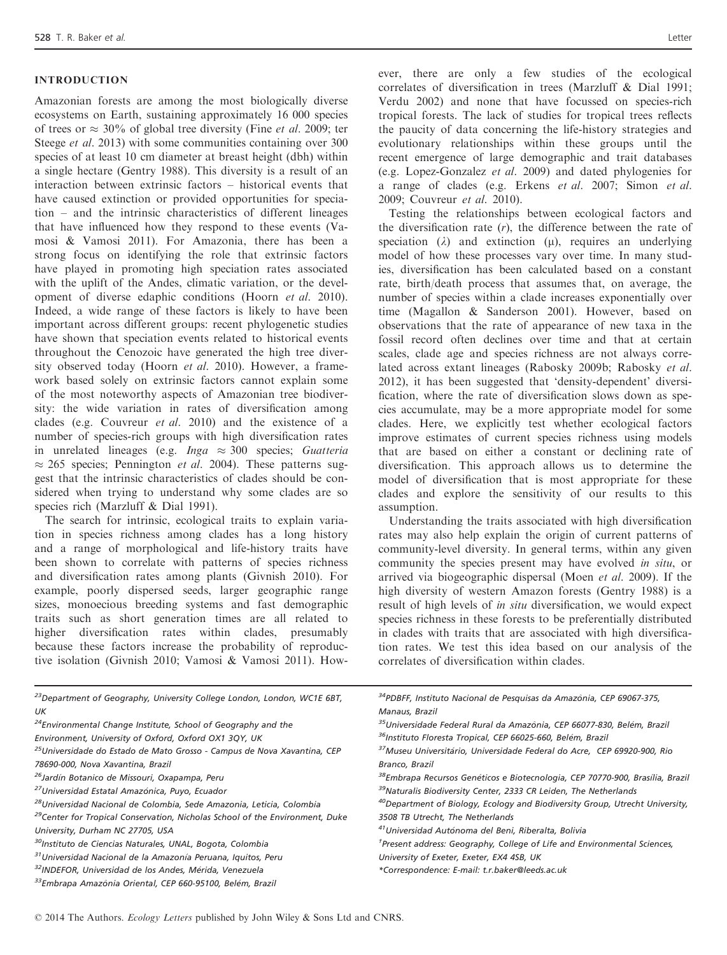### INTRODUCTION

Amazonian forests are among the most biologically diverse ecosystems on Earth, sustaining approximately 16 000 species of trees or  $\approx 30\%$  of global tree diversity (Fine *et al.* 2009; ter Steege *et al.* 2013) with some communities containing over 300 species of at least 10 cm diameter at breast height (dbh) within a single hectare (Gentry 1988). This diversity is a result of an interaction between extrinsic factors – historical events that have caused extinction or provided opportunities for speciation – and the intrinsic characteristics of different lineages that have influenced how they respond to these events (Vamosi & Vamosi 2011). For Amazonia, there has been a strong focus on identifying the role that extrinsic factors have played in promoting high speciation rates associated with the uplift of the Andes, climatic variation, or the development of diverse edaphic conditions (Hoorn et al. 2010). Indeed, a wide range of these factors is likely to have been important across different groups: recent phylogenetic studies have shown that speciation events related to historical events throughout the Cenozoic have generated the high tree diversity observed today (Hoorn et al. 2010). However, a framework based solely on extrinsic factors cannot explain some of the most noteworthy aspects of Amazonian tree biodiversity: the wide variation in rates of diversification among clades (e.g. Couvreur et al. 2010) and the existence of a number of species-rich groups with high diversification rates in unrelated lineages (e.g.  $Inga \approx 300$  species; Guatteria  $\approx$  265 species; Pennington *et al.* 2004). These patterns suggest that the intrinsic characteristics of clades should be considered when trying to understand why some clades are so species rich (Marzluff & Dial 1991).

The search for intrinsic, ecological traits to explain variation in species richness among clades has a long history and a range of morphological and life-history traits have been shown to correlate with patterns of species richness and diversification rates among plants (Givnish 2010). For example, poorly dispersed seeds, larger geographic range sizes, monoecious breeding systems and fast demographic traits such as short generation times are all related to higher diversification rates within clades, presumably because these factors increase the probability of reproductive isolation (Givnish 2010; Vamosi & Vamosi 2011). However, there are only a few studies of the ecological correlates of diversification in trees (Marzluff & Dial 1991; Verdu 2002) and none that have focussed on species-rich tropical forests. The lack of studies for tropical trees reflects the paucity of data concerning the life-history strategies and

evolutionary relationships within these groups until the recent emergence of large demographic and trait databases (e.g. Lopez-Gonzalez et al. 2009) and dated phylogenies for a range of clades (e.g. Erkens et al. 2007; Simon et al. 2009; Couvreur et al. 2010).

Testing the relationships between ecological factors and the diversification rate  $(r)$ , the difference between the rate of speciation ( $\lambda$ ) and extinction ( $\mu$ ), requires an underlying model of how these processes vary over time. In many studies, diversification has been calculated based on a constant rate, birth/death process that assumes that, on average, the number of species within a clade increases exponentially over time (Magallon & Sanderson 2001). However, based on observations that the rate of appearance of new taxa in the fossil record often declines over time and that at certain scales, clade age and species richness are not always correlated across extant lineages (Rabosky 2009b; Rabosky et al. 2012), it has been suggested that 'density-dependent' diversification, where the rate of diversification slows down as species accumulate, may be a more appropriate model for some clades. Here, we explicitly test whether ecological factors improve estimates of current species richness using models that are based on either a constant or declining rate of diversification. This approach allows us to determine the model of diversification that is most appropriate for these clades and explore the sensitivity of our results to this assumption.

Understanding the traits associated with high diversification rates may also help explain the origin of current patterns of community-level diversity. In general terms, within any given community the species present may have evolved in situ, or arrived via biogeographic dispersal (Moen et al. 2009). If the high diversity of western Amazon forests (Gentry 1988) is a result of high levels of in situ diversification, we would expect species richness in these forests to be preferentially distributed in clades with traits that are associated with high diversification rates. We test this idea based on our analysis of the correlates of diversification within clades.

| <sup>23</sup> Department of Geography, University College London, London, WC1E 6BT,      | <sup>34</sup> PDBFF, Instituto Nacional de Pesquisas da Amazônia, CEP 69067-375,          |
|------------------------------------------------------------------------------------------|-------------------------------------------------------------------------------------------|
| UK                                                                                       | Manaus, Brazil                                                                            |
| <sup>24</sup> Environmental Change Institute, School of Geography and the                | <sup>35</sup> Universidade Federal Rural da Amazônia, CEP 66077-830, Belém, Brazil        |
| Environment, University of Oxford, Oxford OX1 3QY, UK                                    | <sup>36</sup> Instituto Floresta Tropical, CEP 66025-660, Belém, Brazil                   |
| <sup>25</sup> Universidade do Estado de Mato Grosso - Campus de Nova Xavantina, CEP      | <sup>37</sup> Museu Universitário, Universidade Federal do Acre, CEP 69920-900, Rio       |
| 78690-000, Nova Xavantina, Brazil                                                        | Branco, Brazil                                                                            |
| <sup>26</sup> Jardín Botanico de Missouri, Oxapampa, Peru                                | <sup>38</sup> Embrapa Recursos Genéticos e Biotecnologia, CEP 70770-900, Brasília, Brazil |
| <sup>27</sup> Universidad Estatal Amazónica, Puyo, Ecuador                               | <sup>39</sup> Naturalis Biodiversity Center, 2333 CR Leiden, The Netherlands              |
| <sup>28</sup> Universidad Nacional de Colombia, Sede Amazonia, Leticia, Colombia         | <sup>40</sup> Department of Biology, Ecology and Biodiversity Group, Utrecht University,  |
| <sup>29</sup> Center for Tropical Conservation, Nicholas School of the Environment, Duke | 3508 TB Utrecht, The Netherlands                                                          |
| University, Durham NC 27705, USA                                                         | <sup>41</sup> Universidad Autónoma del Beni, Riberalta, Bolivia                           |
| <sup>30</sup> Instituto de Ciencias Naturales, UNAL, Bogota, Colombia                    | <sup>†</sup> Present address: Geography, College of Life and Environmental Sciences,      |
| <sup>31</sup> Universidad Nacional de la Amazonía Peruana, Iguitos, Peru                 | University of Exeter, Exeter, EX4 4SB, UK                                                 |
| <sup>32</sup> INDEFOR, Universidad de los Andes, Mérida, Venezuela                       | *Correspondence: E-mail: t.r.baker@leeds.ac.uk                                            |
| <sup>33</sup> Embrapa Amazônia Oriental, CEP 660-95100, Belém, Brazil                    |                                                                                           |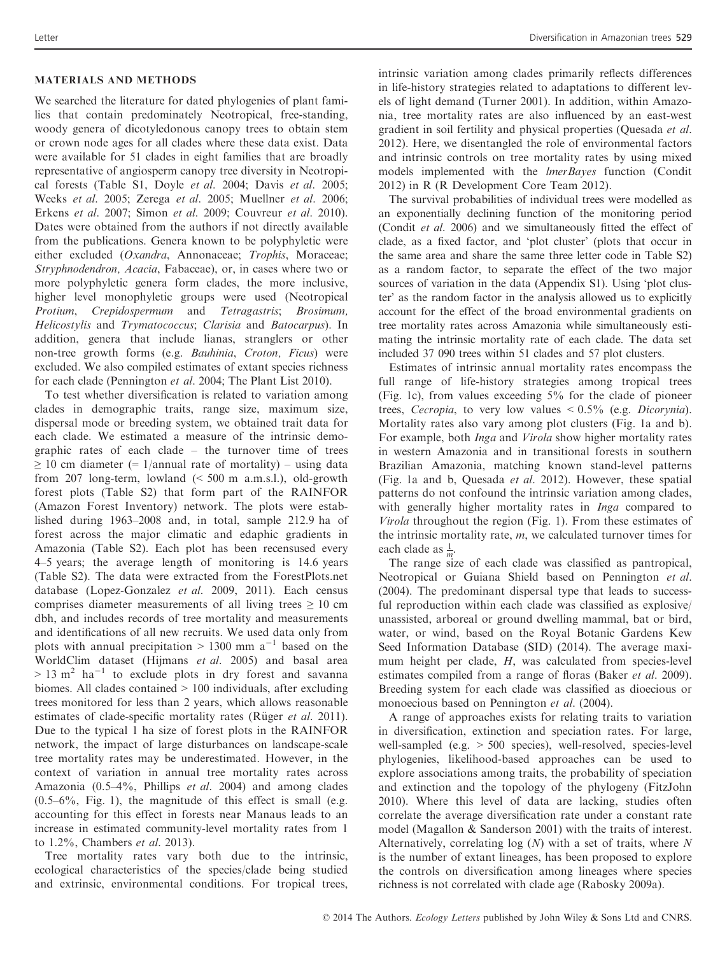# MATERIALS AND METHODS

We searched the literature for dated phylogenies of plant families that contain predominately Neotropical, free-standing, woody genera of dicotyledonous canopy trees to obtain stem or crown node ages for all clades where these data exist. Data were available for 51 clades in eight families that are broadly representative of angiosperm canopy tree diversity in Neotropical forests (Table S1, Doyle et al. 2004; Davis et al. 2005; Weeks et al. 2005; Zerega et al. 2005; Muellner et al. 2006; Erkens et al. 2007; Simon et al. 2009; Couvreur et al. 2010). Dates were obtained from the authors if not directly available from the publications. Genera known to be polyphyletic were either excluded (Oxandra, Annonaceae; Trophis, Moraceae; Stryphnodendron, Acacia, Fabaceae), or, in cases where two or more polyphyletic genera form clades, the more inclusive, higher level monophyletic groups were used (Neotropical Protium, Crepidospermum and Tetragastris; Brosimum, Helicostylis and Trymatococcus; Clarisia and Batocarpus). In addition, genera that include lianas, stranglers or other non-tree growth forms (e.g. Bauhinia, Croton, Ficus) were excluded. We also compiled estimates of extant species richness for each clade (Pennington et al. 2004; The Plant List 2010).

To test whether diversification is related to variation among clades in demographic traits, range size, maximum size, dispersal mode or breeding system, we obtained trait data for each clade. We estimated a measure of the intrinsic demographic rates of each clade – the turnover time of trees  $\geq$  10 cm diameter (= 1/annual rate of mortality) – using data from 207 long-term, lowland (< 500 m a.m.s.l.), old-growth forest plots (Table S2) that form part of the RAINFOR (Amazon Forest Inventory) network. The plots were established during 1963–2008 and, in total, sample 212.9 ha of forest across the major climatic and edaphic gradients in Amazonia (Table S2). Each plot has been recensused every 4–5 years; the average length of monitoring is 14.6 years (Table S2). The data were extracted from the ForestPlots.net database (Lopez-Gonzalez et al. 2009, 2011). Each census comprises diameter measurements of all living trees  $\geq 10$  cm dbh, and includes records of tree mortality and measurements and identifications of all new recruits. We used data only from plots with annual precipitation  $> 1300$  mm a<sup>-1</sup> based on the WorldClim dataset (Hijmans et al. 2005) and basal area  $> 13$  m<sup>2</sup> ha<sup>-1</sup> to exclude plots in dry forest and savanna biomes. All clades contained > 100 individuals, after excluding trees monitored for less than 2 years, which allows reasonable estimates of clade-specific mortality rates (Rüger et al. 2011). Due to the typical 1 ha size of forest plots in the RAINFOR network, the impact of large disturbances on landscape-scale tree mortality rates may be underestimated. However, in the context of variation in annual tree mortality rates across Amazonia (0.5–4%, Phillips et al. 2004) and among clades  $(0.5-6\%,$  Fig. 1), the magnitude of this effect is small (e.g. accounting for this effect in forests near Manaus leads to an increase in estimated community-level mortality rates from 1 to 1.2%, Chambers et al. 2013).

Tree mortality rates vary both due to the intrinsic, ecological characteristics of the species/clade being studied and extrinsic, environmental conditions. For tropical trees,

intrinsic variation among clades primarily reflects differences in life-history strategies related to adaptations to different levels of light demand (Turner 2001). In addition, within Amazonia, tree mortality rates are also influenced by an east-west gradient in soil fertility and physical properties (Quesada et al. 2012). Here, we disentangled the role of environmental factors and intrinsic controls on tree mortality rates by using mixed models implemented with the lmerBayes function (Condit 2012) in R (R Development Core Team 2012).

The survival probabilities of individual trees were modelled as an exponentially declining function of the monitoring period (Condit et al. 2006) and we simultaneously fitted the effect of clade, as a fixed factor, and 'plot cluster' (plots that occur in the same area and share the same three letter code in Table S2) as a random factor, to separate the effect of the two major sources of variation in the data (Appendix S1). Using 'plot cluster' as the random factor in the analysis allowed us to explicitly account for the effect of the broad environmental gradients on tree mortality rates across Amazonia while simultaneously estimating the intrinsic mortality rate of each clade. The data set included 37 090 trees within 51 clades and 57 plot clusters.

Estimates of intrinsic annual mortality rates encompass the full range of life-history strategies among tropical trees (Fig. 1c), from values exceeding 5% for the clade of pioneer trees, Cecropia, to very low values < 0.5% (e.g. Dicorynia). Mortality rates also vary among plot clusters (Fig. 1a and b). For example, both Inga and Virola show higher mortality rates in western Amazonia and in transitional forests in southern Brazilian Amazonia, matching known stand-level patterns (Fig. 1a and b, Quesada et al. 2012). However, these spatial patterns do not confound the intrinsic variation among clades, with generally higher mortality rates in Inga compared to Virola throughout the region (Fig. 1). From these estimates of the intrinsic mortality rate,  $m$ , we calculated turnover times for each clade as  $\frac{1}{m}$ .

The range size of each clade was classified as pantropical, Neotropical or Guiana Shield based on Pennington et al. (2004). The predominant dispersal type that leads to successful reproduction within each clade was classified as explosive/ unassisted, arboreal or ground dwelling mammal, bat or bird, water, or wind, based on the Royal Botanic Gardens Kew Seed Information Database (SID) (2014). The average maximum height per clade, H, was calculated from species-level estimates compiled from a range of floras (Baker *et al.* 2009). Breeding system for each clade was classified as dioecious or monoecious based on Pennington et al. (2004).

A range of approaches exists for relating traits to variation in diversification, extinction and speciation rates. For large, well-sampled (e.g. > 500 species), well-resolved, species-level phylogenies, likelihood-based approaches can be used to explore associations among traits, the probability of speciation and extinction and the topology of the phylogeny (FitzJohn 2010). Where this level of data are lacking, studies often correlate the average diversification rate under a constant rate model (Magallon & Sanderson 2001) with the traits of interest. Alternatively, correlating  $log(N)$  with a set of traits, where N is the number of extant lineages, has been proposed to explore the controls on diversification among lineages where species richness is not correlated with clade age (Rabosky 2009a).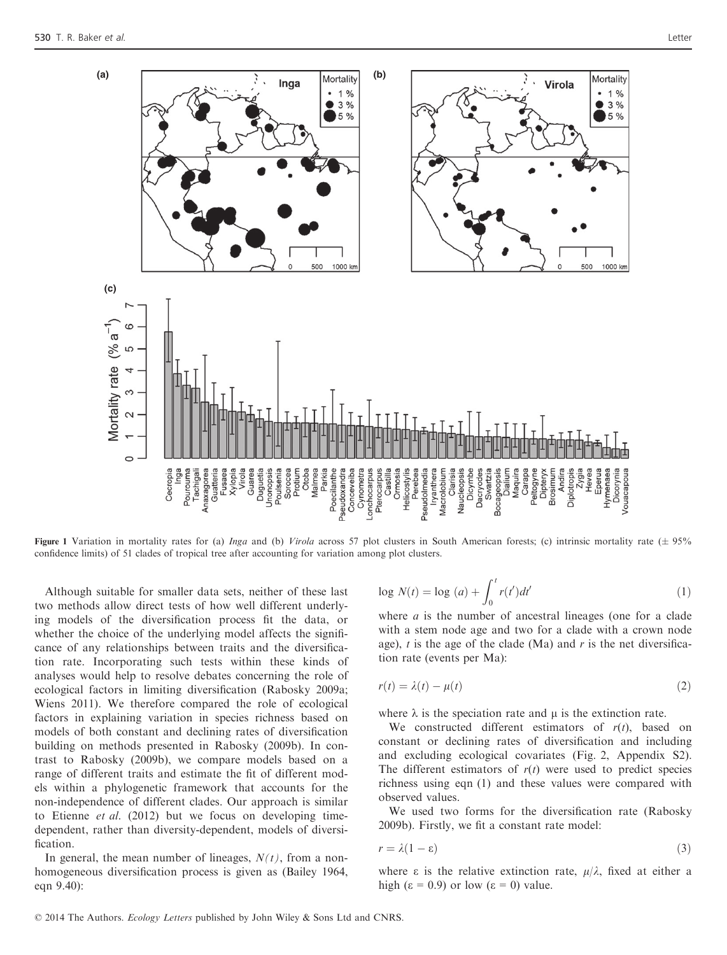

Figure 1 Variation in mortality rates for (a) Inga and (b) Virola across 57 plot clusters in South American forests; (c) intrinsic mortality rate ( $\pm$  95% confidence limits) of 51 clades of tropical tree after accounting for variation among plot clusters.

Although suitable for smaller data sets, neither of these last two methods allow direct tests of how well different underlying models of the diversification process fit the data, or whether the choice of the underlying model affects the significance of any relationships between traits and the diversification rate. Incorporating such tests within these kinds of analyses would help to resolve debates concerning the role of ecological factors in limiting diversification (Rabosky 2009a; Wiens 2011). We therefore compared the role of ecological factors in explaining variation in species richness based on models of both constant and declining rates of diversification building on methods presented in Rabosky (2009b). In contrast to Rabosky (2009b), we compare models based on a range of different traits and estimate the fit of different models within a phylogenetic framework that accounts for the non-independence of different clades. Our approach is similar to Etienne et al.  $(2012)$  but we focus on developing timedependent, rather than diversity-dependent, models of diversification.

In general, the mean number of lineages,  $N(t)$ , from a nonhomogeneous diversification process is given as (Bailey 1964, eqn 9.40):

$$
\log N(t) = \log\left(a\right) + \int_0^t r(t')dt' \tag{1}
$$

where  $a$  is the number of ancestral lineages (one for a clade with a stem node age and two for a clade with a crown node age),  $t$  is the age of the clade (Ma) and  $r$  is the net diversification rate (events per Ma):

$$
r(t) = \lambda(t) - \mu(t) \tag{2}
$$

where  $\lambda$  is the speciation rate and  $\mu$  is the extinction rate.

We constructed different estimators of  $r(t)$ , based on constant or declining rates of diversification and including and excluding ecological covariates (Fig. 2, Appendix S2). The different estimators of  $r(t)$  were used to predict species richness using eqn (1) and these values were compared with observed values.

We used two forms for the diversification rate (Rabosky 2009b). Firstly, we fit a constant rate model:

$$
r = \lambda(1 - \varepsilon) \tag{3}
$$

where  $\varepsilon$  is the relative extinction rate,  $\mu/\lambda$ , fixed at either a high ( $\varepsilon = 0.9$ ) or low ( $\varepsilon = 0$ ) value.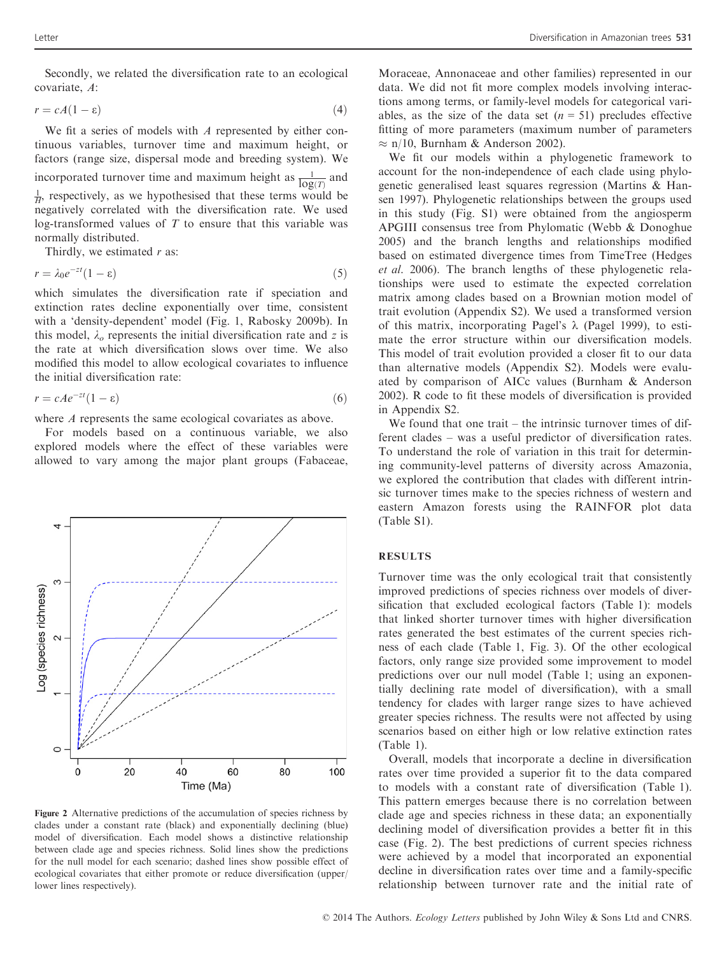Secondly, we related the diversification rate to an ecological covariate, A:

$$
r = cA(1 - \varepsilon) \tag{4}
$$

We fit a series of models with  $\Lambda$  represented by either continuous variables, turnover time and maximum height, or factors (range size, dispersal mode and breeding system). We incorporated turnover time and maximum height as  $\frac{1}{\log(T)}$  and  $\frac{1}{H}$ , respectively, as we hypothesised that these terms would be negatively correlated with the diversification rate. We used log-transformed values of  $T$  to ensure that this variable was normally distributed.

Thirdly, we estimated  $r$  as:

$$
r = \lambda_0 e^{-zt} (1 - \varepsilon) \tag{5}
$$

which simulates the diversification rate if speciation and extinction rates decline exponentially over time, consistent with a 'density-dependent' model (Fig. 1, Rabosky 2009b). In this model,  $\lambda_o$  represents the initial diversification rate and z is the rate at which diversification slows over time. We also modified this model to allow ecological covariates to influence the initial diversification rate:

$$
r = cAe^{-zt}(1 - \varepsilon) \tag{6}
$$

where A represents the same ecological covariates as above.

For models based on a continuous variable, we also explored models where the effect of these variables were allowed to vary among the major plant groups (Fabaceae,



Figure 2 Alternative predictions of the accumulation of species richness by clades under a constant rate (black) and exponentially declining (blue) model of diversification. Each model shows a distinctive relationship between clade age and species richness. Solid lines show the predictions for the null model for each scenario; dashed lines show possible effect of ecological covariates that either promote or reduce diversification (upper/ lower lines respectively).

Moraceae, Annonaceae and other families) represented in our data. We did not fit more complex models involving interactions among terms, or family-level models for categorical variables, as the size of the data set  $(n = 51)$  precludes effective fitting of more parameters (maximum number of parameters  $\approx$  n/10, Burnham & Anderson 2002).

We fit our models within a phylogenetic framework to account for the non-independence of each clade using phylogenetic generalised least squares regression (Martins & Hansen 1997). Phylogenetic relationships between the groups used in this study (Fig. S1) were obtained from the angiosperm APGIII consensus tree from Phylomatic (Webb & Donoghue 2005) and the branch lengths and relationships modified based on estimated divergence times from TimeTree (Hedges et al. 2006). The branch lengths of these phylogenetic relationships were used to estimate the expected correlation matrix among clades based on a Brownian motion model of trait evolution (Appendix S2). We used a transformed version of this matrix, incorporating Pagel's  $\lambda$  (Pagel 1999), to estimate the error structure within our diversification models. This model of trait evolution provided a closer fit to our data than alternative models (Appendix S2). Models were evaluated by comparison of AICc values (Burnham & Anderson 2002). R code to fit these models of diversification is provided in Appendix S2.

We found that one trait – the intrinsic turnover times of different clades – was a useful predictor of diversification rates. To understand the role of variation in this trait for determining community-level patterns of diversity across Amazonia, we explored the contribution that clades with different intrinsic turnover times make to the species richness of western and eastern Amazon forests using the RAINFOR plot data (Table S1).

### RESULTS

Turnover time was the only ecological trait that consistently improved predictions of species richness over models of diversification that excluded ecological factors (Table 1): models that linked shorter turnover times with higher diversification rates generated the best estimates of the current species richness of each clade (Table 1, Fig. 3). Of the other ecological factors, only range size provided some improvement to model predictions over our null model (Table 1; using an exponentially declining rate model of diversification), with a small tendency for clades with larger range sizes to have achieved greater species richness. The results were not affected by using scenarios based on either high or low relative extinction rates (Table 1).

Overall, models that incorporate a decline in diversification rates over time provided a superior fit to the data compared to models with a constant rate of diversification (Table 1). This pattern emerges because there is no correlation between clade age and species richness in these data; an exponentially declining model of diversification provides a better fit in this case (Fig. 2). The best predictions of current species richness were achieved by a model that incorporated an exponential decline in diversification rates over time and a family-specific relationship between turnover rate and the initial rate of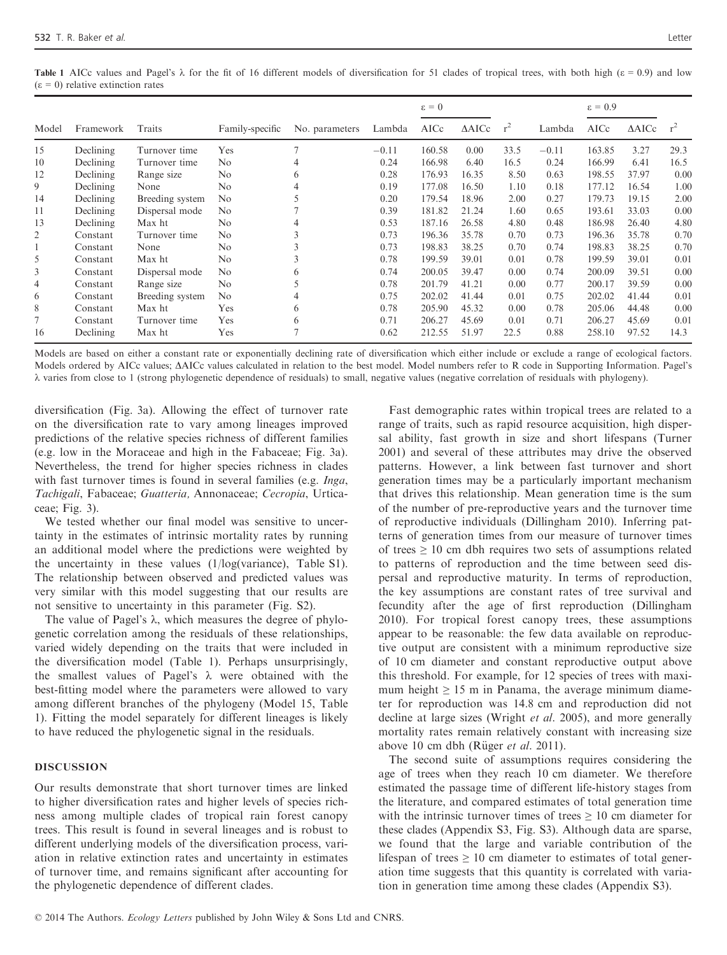Table 1 AICc values and Pagel's  $\lambda$  for the fit of 16 different models of diversification for 51 clades of tropical trees, with both high ( $\epsilon = 0.9$ ) and low  $(\epsilon = 0)$  relative extinction rates

|                |           |                 |                 |                |         | $\epsilon = 0$ |                  |       |         | $\epsilon = 0.9$ |                  |       |
|----------------|-----------|-----------------|-----------------|----------------|---------|----------------|------------------|-------|---------|------------------|------------------|-------|
| Model          | Framework | Traits          | Family-specific | No. parameters | Lambda  | AICc           | $\triangle$ AICc | $r^2$ | Lambda  | AICc             | $\triangle$ AICc | $r^2$ |
| 15             | Declining | Turnover time   | Yes             |                | $-0.11$ | 160.58         | 0.00             | 33.5  | $-0.11$ | 163.85           | 3.27             | 29.3  |
| 10             | Declining | Turnover time   | N <sub>0</sub>  | 4              | 0.24    | 166.98         | 6.40             | 16.5  | 0.24    | 166.99           | 6.41             | 16.5  |
| 12             | Declining | Range size      | No              | 6              | 0.28    | 176.93         | 16.35            | 8.50  | 0.63    | 198.55           | 37.97            | 0.00  |
| 9              | Declining | None            | N <sub>o</sub>  | 4              | 0.19    | 177.08         | 16.50            | 1.10  | 0.18    | 177.12           | 16.54            | 1.00  |
| 14             | Declining | Breeding system | No              |                | 0.20    | 179.54         | 18.96            | 2.00  | 0.27    | 179.73           | 19.15            | 2.00  |
| 11             | Declining | Dispersal mode  | N <sub>o</sub>  |                | 0.39    | 181.82         | 21.24            | 1.60  | 0.65    | 193.61           | 33.03            | 0.00  |
| 13             | Declining | Max ht          | N <sub>o</sub>  | 4              | 0.53    | 187.16         | 26.58            | 4.80  | 0.48    | 186.98           | 26.40            | 4.80  |
| 2              | Constant  | Turnover time   | N <sub>o</sub>  | 3              | 0.73    | 196.36         | 35.78            | 0.70  | 0.73    | 196.36           | 35.78            | 0.70  |
| 1              | Constant  | None            | N <sub>o</sub>  | 3              | 0.73    | 198.83         | 38.25            | 0.70  | 0.74    | 198.83           | 38.25            | 0.70  |
| 5              | Constant  | Max ht          | N <sub>o</sub>  | 3              | 0.78    | 199.59         | 39.01            | 0.01  | 0.78    | 199.59           | 39.01            | 0.01  |
| 3              | Constant  | Dispersal mode  | N <sub>o</sub>  | 6              | 0.74    | 200.05         | 39.47            | 0.00  | 0.74    | 200.09           | 39.51            | 0.00  |
| $\overline{4}$ | Constant  | Range size      | N <sub>o</sub>  |                | 0.78    | 201.79         | 41.21            | 0.00  | 0.77    | 200.17           | 39.59            | 0.00  |
| 6              | Constant  | Breeding system | No              |                | 0.75    | 202.02         | 41.44            | 0.01  | 0.75    | 202.02           | 41.44            | 0.01  |
| 8              | Constant  | Max ht          | Yes             | 6              | 0.78    | 205.90         | 45.32            | 0.00  | 0.78    | 205.06           | 44.48            | 0.00  |
| 7              | Constant  | Turnover time   | Yes             | 6              | 0.71    | 206.27         | 45.69            | 0.01  | 0.71    | 206.27           | 45.69            | 0.01  |
| 16             | Declining | Max ht          | Yes             |                | 0.62    | 212.55         | 51.97            | 22.5  | 0.88    | 258.10           | 97.52            | 14.3  |

Models are based on either a constant rate or exponentially declining rate of diversification which either include or exclude a range of ecological factors. Models ordered by AICc values;  $\Delta AICc$  values calculated in relation to the best model. Model numbers refer to R code in Supporting Information. Pagel's k varies from close to 1 (strong phylogenetic dependence of residuals) to small, negative values (negative correlation of residuals with phylogeny).

diversification (Fig. 3a). Allowing the effect of turnover rate on the diversification rate to vary among lineages improved predictions of the relative species richness of different families (e.g. low in the Moraceae and high in the Fabaceae; Fig. 3a). Nevertheless, the trend for higher species richness in clades with fast turnover times is found in several families (e.g. *Inga*, Tachigali, Fabaceae; Guatteria, Annonaceae; Cecropia, Urticaceae; Fig. 3).

We tested whether our final model was sensitive to uncertainty in the estimates of intrinsic mortality rates by running an additional model where the predictions were weighted by the uncertainty in these values (1/log(variance), Table S1). The relationship between observed and predicted values was very similar with this model suggesting that our results are not sensitive to uncertainty in this parameter (Fig. S2).

The value of Pagel's  $\lambda$ , which measures the degree of phylogenetic correlation among the residuals of these relationships, varied widely depending on the traits that were included in the diversification model (Table 1). Perhaps unsurprisingly, the smallest values of Pagel's  $\lambda$  were obtained with the best-fitting model where the parameters were allowed to vary among different branches of the phylogeny (Model 15, Table 1). Fitting the model separately for different lineages is likely to have reduced the phylogenetic signal in the residuals.

## DISCUSSION

Our results demonstrate that short turnover times are linked to higher diversification rates and higher levels of species richness among multiple clades of tropical rain forest canopy trees. This result is found in several lineages and is robust to different underlying models of the diversification process, variation in relative extinction rates and uncertainty in estimates of turnover time, and remains significant after accounting for the phylogenetic dependence of different clades.

Fast demographic rates within tropical trees are related to a range of traits, such as rapid resource acquisition, high dispersal ability, fast growth in size and short lifespans (Turner 2001) and several of these attributes may drive the observed patterns. However, a link between fast turnover and short generation times may be a particularly important mechanism that drives this relationship. Mean generation time is the sum of the number of pre-reproductive years and the turnover time of reproductive individuals (Dillingham 2010). Inferring patterns of generation times from our measure of turnover times of trees  $\geq 10$  cm dbh requires two sets of assumptions related to patterns of reproduction and the time between seed dispersal and reproductive maturity. In terms of reproduction, the key assumptions are constant rates of tree survival and fecundity after the age of first reproduction (Dillingham 2010). For tropical forest canopy trees, these assumptions appear to be reasonable: the few data available on reproductive output are consistent with a minimum reproductive size of 10 cm diameter and constant reproductive output above this threshold. For example, for 12 species of trees with maximum height  $\geq 15$  m in Panama, the average minimum diameter for reproduction was 14.8 cm and reproduction did not decline at large sizes (Wright *et al.* 2005), and more generally mortality rates remain relatively constant with increasing size above 10 cm dbh (Rüger  $et$   $al.$  2011).

The second suite of assumptions requires considering the age of trees when they reach 10 cm diameter. We therefore estimated the passage time of different life-history stages from the literature, and compared estimates of total generation time with the intrinsic turnover times of trees  $\geq 10$  cm diameter for these clades (Appendix S3, Fig. S3). Although data are sparse, we found that the large and variable contribution of the lifespan of trees  $\geq 10$  cm diameter to estimates of total generation time suggests that this quantity is correlated with variation in generation time among these clades (Appendix S3).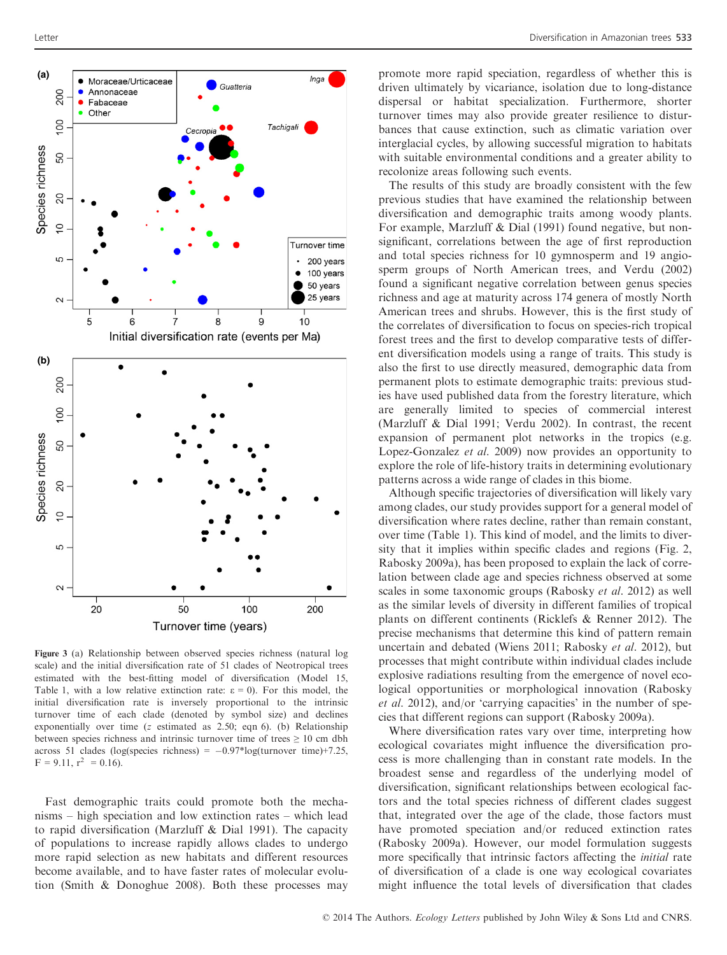

Figure 3 (a) Relationship between observed species richness (natural log scale) and the initial diversification rate of 51 clades of Neotropical trees estimated with the best-fitting model of diversification (Model 15, Table 1, with a low relative extinction rate:  $\epsilon = 0$ ). For this model, the initial diversification rate is inversely proportional to the intrinsic turnover time of each clade (denoted by symbol size) and declines exponentially over time (z estimated as 2.50; eqn 6). (b) Relationship between species richness and intrinsic turnover time of trees  $\geq 10$  cm dbh across 51 clades (log(species richness) =  $-0.97*$ log(turnover time)+7.25,  $F = 9.11$ ,  $r^2 = 0.16$ .

Fast demographic traits could promote both the mechanisms – high speciation and low extinction rates – which lead to rapid diversification (Marzluff & Dial 1991). The capacity of populations to increase rapidly allows clades to undergo more rapid selection as new habitats and different resources become available, and to have faster rates of molecular evolution (Smith & Donoghue 2008). Both these processes may

promote more rapid speciation, regardless of whether this is driven ultimately by vicariance, isolation due to long-distance dispersal or habitat specialization. Furthermore, shorter turnover times may also provide greater resilience to disturbances that cause extinction, such as climatic variation over interglacial cycles, by allowing successful migration to habitats with suitable environmental conditions and a greater ability to recolonize areas following such events.

The results of this study are broadly consistent with the few previous studies that have examined the relationship between diversification and demographic traits among woody plants. For example, Marzluff & Dial (1991) found negative, but nonsignificant, correlations between the age of first reproduction and total species richness for 10 gymnosperm and 19 angiosperm groups of North American trees, and Verdu (2002) found a significant negative correlation between genus species richness and age at maturity across 174 genera of mostly North American trees and shrubs. However, this is the first study of the correlates of diversification to focus on species-rich tropical forest trees and the first to develop comparative tests of different diversification models using a range of traits. This study is also the first to use directly measured, demographic data from permanent plots to estimate demographic traits: previous studies have used published data from the forestry literature, which are generally limited to species of commercial interest (Marzluff & Dial 1991; Verdu 2002). In contrast, the recent expansion of permanent plot networks in the tropics (e.g. Lopez-Gonzalez et al. 2009) now provides an opportunity to explore the role of life-history traits in determining evolutionary patterns across a wide range of clades in this biome.

Although specific trajectories of diversification will likely vary among clades, our study provides support for a general model of diversification where rates decline, rather than remain constant, over time (Table 1). This kind of model, and the limits to diversity that it implies within specific clades and regions (Fig. 2, Rabosky 2009a), has been proposed to explain the lack of correlation between clade age and species richness observed at some scales in some taxonomic groups (Rabosky et al. 2012) as well as the similar levels of diversity in different families of tropical plants on different continents (Ricklefs & Renner 2012). The precise mechanisms that determine this kind of pattern remain uncertain and debated (Wiens 2011; Rabosky et al. 2012), but processes that might contribute within individual clades include explosive radiations resulting from the emergence of novel ecological opportunities or morphological innovation (Rabosky et al. 2012), and/or 'carrying capacities' in the number of species that different regions can support (Rabosky 2009a).

Where diversification rates vary over time, interpreting how ecological covariates might influence the diversification process is more challenging than in constant rate models. In the broadest sense and regardless of the underlying model of diversification, significant relationships between ecological factors and the total species richness of different clades suggest that, integrated over the age of the clade, those factors must have promoted speciation and/or reduced extinction rates (Rabosky 2009a). However, our model formulation suggests more specifically that intrinsic factors affecting the initial rate of diversification of a clade is one way ecological covariates might influence the total levels of diversification that clades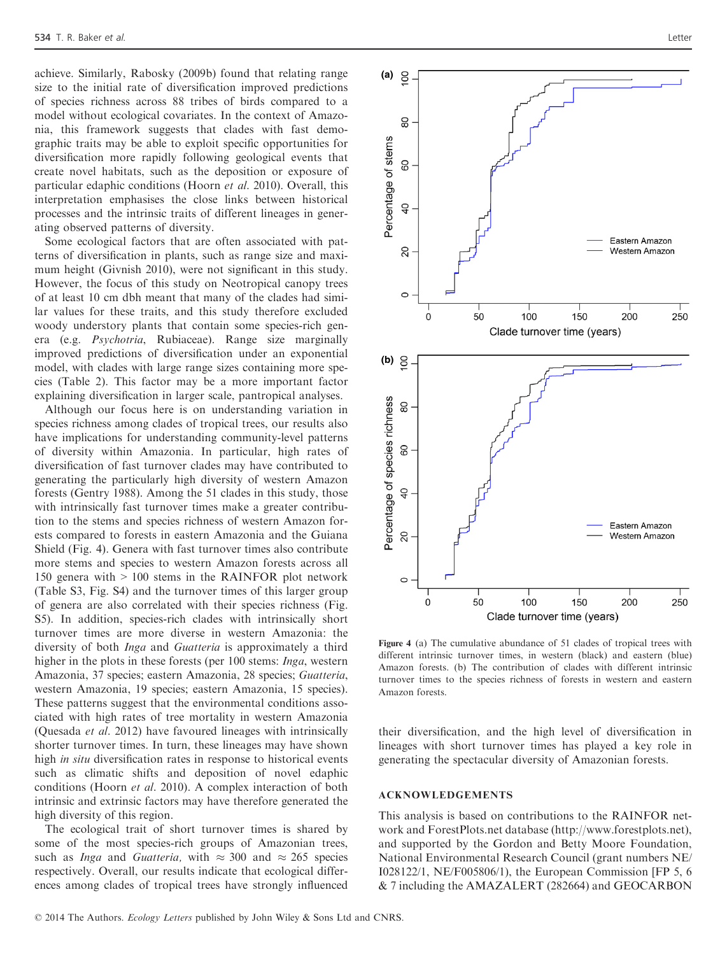achieve. Similarly, Rabosky (2009b) found that relating range size to the initial rate of diversification improved predictions of species richness across 88 tribes of birds compared to a model without ecological covariates. In the context of Amazonia, this framework suggests that clades with fast demographic traits may be able to exploit specific opportunities for diversification more rapidly following geological events that create novel habitats, such as the deposition or exposure of particular edaphic conditions (Hoorn et al. 2010). Overall, this interpretation emphasises the close links between historical processes and the intrinsic traits of different lineages in generating observed patterns of diversity.

Some ecological factors that are often associated with patterns of diversification in plants, such as range size and maximum height (Givnish 2010), were not significant in this study. However, the focus of this study on Neotropical canopy trees of at least 10 cm dbh meant that many of the clades had similar values for these traits, and this study therefore excluded woody understory plants that contain some species-rich genera (e.g. Psychotria, Rubiaceae). Range size marginally improved predictions of diversification under an exponential model, with clades with large range sizes containing more species (Table 2). This factor may be a more important factor explaining diversification in larger scale, pantropical analyses.

Although our focus here is on understanding variation in species richness among clades of tropical trees, our results also have implications for understanding community-level patterns of diversity within Amazonia. In particular, high rates of diversification of fast turnover clades may have contributed to generating the particularly high diversity of western Amazon forests (Gentry 1988). Among the 51 clades in this study, those with intrinsically fast turnover times make a greater contribution to the stems and species richness of western Amazon forests compared to forests in eastern Amazonia and the Guiana Shield (Fig. 4). Genera with fast turnover times also contribute more stems and species to western Amazon forests across all 150 genera with > 100 stems in the RAINFOR plot network (Table S3, Fig. S4) and the turnover times of this larger group of genera are also correlated with their species richness (Fig. S5). In addition, species-rich clades with intrinsically short turnover times are more diverse in western Amazonia: the diversity of both Inga and Guatteria is approximately a third higher in the plots in these forests (per 100 stems: Inga, western Amazonia, 37 species; eastern Amazonia, 28 species; Guatteria, western Amazonia, 19 species; eastern Amazonia, 15 species). These patterns suggest that the environmental conditions associated with high rates of tree mortality in western Amazonia (Quesada et al. 2012) have favoured lineages with intrinsically shorter turnover times. In turn, these lineages may have shown high in situ diversification rates in response to historical events such as climatic shifts and deposition of novel edaphic conditions (Hoorn et al. 2010). A complex interaction of both intrinsic and extrinsic factors may have therefore generated the high diversity of this region.

The ecological trait of short turnover times is shared by some of the most species-rich groups of Amazonian trees, such as *Inga* and *Guatteria*, with  $\approx 300$  and  $\approx 265$  species respectively. Overall, our results indicate that ecological differences among clades of tropical trees have strongly influenced



Figure 4 (a) The cumulative abundance of 51 clades of tropical trees with different intrinsic turnover times, in western (black) and eastern (blue) Amazon forests. (b) The contribution of clades with different intrinsic turnover times to the species richness of forests in western and eastern Amazon forests.

their diversification, and the high level of diversification in lineages with short turnover times has played a key role in generating the spectacular diversity of Amazonian forests.

### ACKNOWLEDGEMENTS

This analysis is based on contributions to the RAINFOR network and ForestPlots.net database (http://www.forestplots.net), and supported by the Gordon and Betty Moore Foundation, National Environmental Research Council (grant numbers NE/ I028122/1, NE/F005806/1), the European Commission [FP 5, 6 & 7 including the AMAZALERT (282664) and GEOCARBON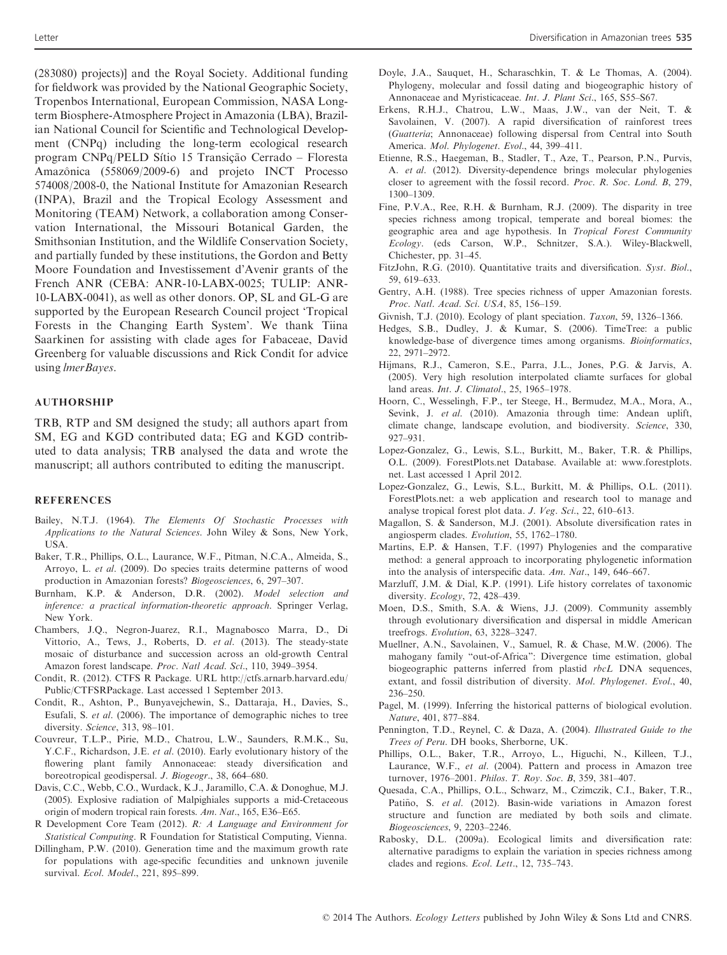(283080) projects)] and the Royal Society. Additional funding for fieldwork was provided by the National Geographic Society, Tropenbos International, European Commission, NASA Longterm Biosphere-Atmosphere Project in Amazonia (LBA), Brazilian National Council for Scientific and Technological Development (CNPq) including the long-term ecological research program CNPq/PELD Sítio 15 Transição Cerrado – Floresta Amazônica (558069/2009-6) and projeto INCT Processo 574008/2008-0, the National Institute for Amazonian Research (INPA), Brazil and the Tropical Ecology Assessment and Monitoring (TEAM) Network, a collaboration among Conservation International, the Missouri Botanical Garden, the Smithsonian Institution, and the Wildlife Conservation Society, and partially funded by these institutions, the Gordon and Betty Moore Foundation and Investissement d'Avenir grants of the French ANR (CEBA: ANR-10-LABX-0025; TULIP: ANR-10-LABX-0041), as well as other donors. OP, SL and GL-G are supported by the European Research Council project 'Tropical Forests in the Changing Earth System'. We thank Tiina Saarkinen for assisting with clade ages for Fabaceae, David Greenberg for valuable discussions and Rick Condit for advice using lmerBayes.

#### AUTHORSHIP

TRB, RTP and SM designed the study; all authors apart from SM, EG and KGD contributed data; EG and KGD contributed to data analysis; TRB analysed the data and wrote the manuscript; all authors contributed to editing the manuscript.

#### **REFERENCES**

- Bailey, N.T.J. (1964). The Elements Of Stochastic Processes with Applications to the Natural Sciences. John Wiley & Sons, New York, USA.
- Baker, T.R., Phillips, O.L., Laurance, W.F., Pitman, N.C.A., Almeida, S., Arroyo, L. et al. (2009). Do species traits determine patterns of wood production in Amazonian forests? Biogeosciences, 6, 297–307.
- Burnham, K.P. & Anderson, D.R. (2002). Model selection and inference: a practical information-theoretic approach. Springer Verlag, New York.
- Chambers, J.Q., Negron-Juarez, R.I., Magnabosco Marra, D., Di Vittorio, A., Tews, J., Roberts, D. et al. (2013). The steady-state mosaic of disturbance and succession across an old-growth Central Amazon forest landscape. Proc. Natl Acad. Sci., 110, 3949–3954.
- Condit, R. (2012). CTFS R Package. URL http://ctfs.arnarb.harvard.edu/ Public/CTFSRPackage. Last accessed 1 September 2013.
- Condit, R., Ashton, P., Bunyavejchewin, S., Dattaraja, H., Davies, S., Esufali, S. et al. (2006). The importance of demographic niches to tree diversity. Science, 313, 98–101.
- Couvreur, T.L.P., Pirie, M.D., Chatrou, L.W., Saunders, R.M.K., Su, Y.C.F., Richardson, J.E. et al. (2010). Early evolutionary history of the flowering plant family Annonaceae: steady diversification and boreotropical geodispersal. J. Biogeogr., 38, 664–680.
- Davis, C.C., Webb, C.O., Wurdack, K.J., Jaramillo, C.A. & Donoghue, M.J. (2005). Explosive radiation of Malpighiales supports a mid-Cretaceous origin of modern tropical rain forests. Am. Nat., 165, E36–E65.
- R Development Core Team (2012). R: A Language and Environment for Statistical Computing. R Foundation for Statistical Computing, Vienna.
- Dillingham, P.W. (2010). Generation time and the maximum growth rate for populations with age-specific fecundities and unknown juvenile survival. Ecol. Model., 221, 895–899.
- Doyle, J.A., Sauquet, H., Scharaschkin, T. & Le Thomas, A. (2004). Phylogeny, molecular and fossil dating and biogeographic history of Annonaceae and Myristicaceae. Int. J. Plant Sci., 165, S55–S67.
- Erkens, R.H.J., Chatrou, L.W., Maas, J.W., van der Neit, T. & Savolainen, V. (2007). A rapid diversification of rainforest trees (Guatteria; Annonaceae) following dispersal from Central into South America. Mol. Phylogenet. Evol., 44, 399–411.
- Etienne, R.S., Haegeman, B., Stadler, T., Aze, T., Pearson, P.N., Purvis, A. et al. (2012). Diversity-dependence brings molecular phylogenies closer to agreement with the fossil record. Proc. R. Soc. Lond. B, 279, 1300–1309.
- Fine, P.V.A., Ree, R.H. & Burnham, R.J. (2009). The disparity in tree species richness among tropical, temperate and boreal biomes: the geographic area and age hypothesis. In Tropical Forest Community Ecology. (eds Carson, W.P., Schnitzer, S.A.). Wiley-Blackwell, Chichester, pp. 31–45.
- FitzJohn, R.G. (2010). Quantitative traits and diversification. Syst. Biol., 59, 619–633.
- Gentry, A.H. (1988). Tree species richness of upper Amazonian forests. Proc. Natl. Acad. Sci. USA, 85, 156–159.
- Givnish, T.J. (2010). Ecology of plant speciation. Taxon, 59, 1326–1366.
- Hedges, S.B., Dudley, J. & Kumar, S. (2006). TimeTree: a public knowledge-base of divergence times among organisms. Bioinformatics, 22, 2971–2972.
- Hijmans, R.J., Cameron, S.E., Parra, J.L., Jones, P.G. & Jarvis, A. (2005). Very high resolution interpolated cliamte surfaces for global land areas. Int. J. Climatol., 25, 1965–1978.
- Hoorn, C., Wesselingh, F.P., ter Steege, H., Bermudez, M.A., Mora, A., Sevink, J. et al. (2010). Amazonia through time: Andean uplift, climate change, landscape evolution, and biodiversity. Science, 330, 927–931.
- Lopez-Gonzalez, G., Lewis, S.L., Burkitt, M., Baker, T.R. & Phillips, O.L. (2009). ForestPlots.net Database. Available at: www.forestplots. net. Last accessed 1 April 2012.
- Lopez-Gonzalez, G., Lewis, S.L., Burkitt, M. & Phillips, O.L. (2011). ForestPlots.net: a web application and research tool to manage and analyse tropical forest plot data. J. Veg. Sci., 22, 610–613.
- Magallon, S. & Sanderson, M.J. (2001). Absolute diversification rates in angiosperm clades. Evolution, 55, 1762–1780.
- Martins, E.P. & Hansen, T.F. (1997) Phylogenies and the comparative method: a general approach to incorporating phylogenetic information into the analysis of interspecific data. Am. Nat., 149, 646–667.
- Marzluff, J.M. & Dial, K.P. (1991). Life history correlates of taxonomic diversity. Ecology, 72, 428–439.
- Moen, D.S., Smith, S.A. & Wiens, J.J. (2009). Community assembly through evolutionary diversification and dispersal in middle American treefrogs. Evolution, 63, 3228–3247.
- Muellner, A.N., Savolainen, V., Samuel, R. & Chase, M.W. (2006). The mahogany family "out-of-Africa": Divergence time estimation, global biogeographic patterns inferred from plastid rbcL DNA sequences, extant, and fossil distribution of diversity. Mol. Phylogenet. Evol., 40, 236–250.
- Pagel, M. (1999). Inferring the historical patterns of biological evolution. Nature, 401, 877–884.
- Pennington, T.D., Reynel, C. & Daza, A. (2004). Illustrated Guide to the Trees of Peru. DH books, Sherborne, UK.
- Phillips, O.L., Baker, T.R., Arroyo, L., Higuchi, N., Killeen, T.J., Laurance, W.F., et al. (2004). Pattern and process in Amazon tree turnover, 1976–2001. Philos. T. Roy. Soc. B, 359, 381–407.
- Quesada, C.A., Phillips, O.L., Schwarz, M., Czimczik, C.I., Baker, T.R., Patiño, S. et al. (2012). Basin-wide variations in Amazon forest structure and function are mediated by both soils and climate. Biogeosciences, 9, 2203–2246.
- Rabosky, D.L. (2009a). Ecological limits and diversification rate: alternative paradigms to explain the variation in species richness among clades and regions. Ecol. Lett., 12, 735–743.